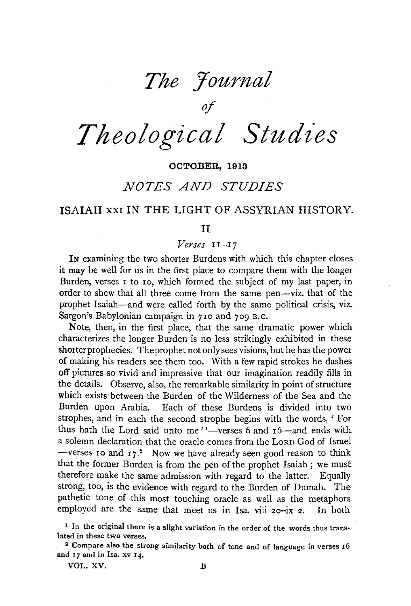# *The Journal*

*of* 

# *Theological Studies*

#### OCTOBER, 1913

# *NOTES AND STUDIES*

## ISAIAH xxr IN THE LIGHT OF ASSYRIAN HISTORY.

#### II

### *Verses* II-I *<sup>7</sup>*

IN examining the two shorter Burdens with which this chapter closes it may be well for us in the first place to compare them with the longer Burden, verses r to 10, which formed the subject of my last paper, in order to shew that all three come from the same pen-viz. that of the prophet Isaiah-and were called forth by the same political crisis, viz. Sargon's Babylonian campaign in 710 and 709 B.C.

Note, then, in the first place, that the same dramatic power which characterizes the longer Burden is no less strikingly exhibited in these shorter prophecies. The prophet not only sees visions, but he has the power of making his readers see them too. With a few rapid strokes he dashes off pictures so vivid and impressive that our imagination readily fills in the details. Observe, also, the remarkable similarity in point of structure which exists between the Burden of the Wilderness of the Sea and the Burden upon Arabia. Each of these Burdens is divided into two strophes, and in each the second strophe begins with the words, ' For thus hath the Lord said unto me'<sup>1</sup>-verses  $\overline{6}$  and  $\overline{16}$ -and ends with a solemn declaration that the oracle comes from the LoRD God of Israel -verses 10 and  $17<sup>2</sup>$  Now we have already seen good reason to think that the former Burden is from the pen of the prophet Isaiah ; we must therefore make the same admission with regard to the latter. Equally strong, too, is the evidence with regard to the Burden of Dumah. The pathetic tone of this most touching oracle as well as the metaphors employed are the same that meet us in Isa. viii 2o-ix 2. In both

<sup>1</sup> In the original there is a slight variation in the order of the words thus translated in these two verses.<br><sup>2</sup> Compare also the strong similarity both of tone and of language in verses 16

and 17 and in Isa. xv 14.

VOL. XV. B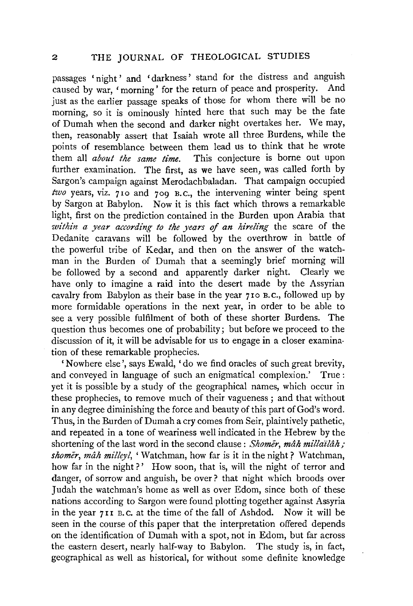passages 'night' and 'darkness' stand for the distress and anguish caused by war, 'morning' for the return of peace and prosperity. And just as the earlier passage speaks of those for whom there will be no morning, so it is ominously hinted here that such may be the fate of Dumah when the second and darker night overtakes her. We may, then, reasonably assert that Isaiah wrote all three Burdens, while the points of resemblance between them lead us to think that he wrote them all *about the same time*. This conjecture is borne out upon This conjecture is borne out upon further examination. The first, as we have seen, was called forth by Sargon's campaign against Merodachbaladan. That campaign occupied *two* years, viz. 710 and 709 B.c., the intervening winter being spent by Sargon at Babylon. Now it is this fact which throws a remarkable light, first on the prediction contained in the Burden upon Arabia that *within a year according to the years* of *an hireling* the scare of the Dedanite caravans will be followed by the overthrow in battle of the powerful tribe of Kedar, and then on the answer of the watchman in the Burden of Dumah that a seemingly brief morning will be followed by a second and apparently darker night. Clearly we have only to imagine a raid into the desert made by the Assyrian cavalry from Babylon as their base in the year 710 B. c., followed up by more formidable operations in the next year, in order to be able to see a very possible fulfilment of both of these shorter Burdens. The question thus becomes one of probability; but before we proceed to the discussion of it, it will be advisable for us to engage in a closer examination of these remarkable prophecies.

'Nowhere else', says Ewald, 'do we find oracles of such great brevity, and conveyed in language of such an enigmatical complexion.' True : yet it is possible by a study of the geographical names, which occur in these prophecies, to remove much of their vagueness ; and that without in any degree diminishing the force and beauty of this part of God's word. Thus, in the Burden of Dumah a cry comes from Seir, plaintively pathetic, and repeated in a tone of weariness well indicated in the Hebrew by the shortening of the last word in the second clause : *Shomer, mah millailah* ; *shomer, mah milleyl,* 'Watchman, how far is it in the night? Watchman, how far in the night?' How soon, that is, will the night of terror and danger, of sorrow and anguish, be over? that night which broods over Judah the watchman's home as well as over Edom, since both of these nations according to Sargon were found plotting together against Assyria in the year 711 B.C. at the time of the fall of Ashdod. Now it will be seen in the course of this paper that the interpretation offered depends on the identification of Dumah with a spot, not in Edom, but far across the eastern desert, nearly half-way to Babylon. The study is, in fact, geographical as well as historical, for without some definite knowledge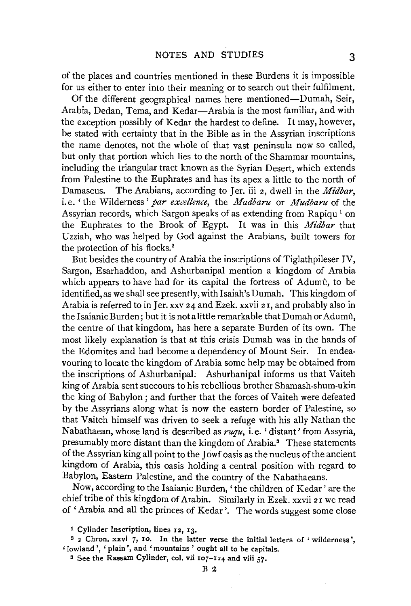of the places and countries mentioned in these Burdens it is impossible for us either to enter into their meaning or to search out their fulfilment.

Of the different geographical names here mentioned-Dumah, Seir, Arabia, Dedan, Tema, and Kedar-Arabia is the most familiar, and with the exception possibly of Kedar the hardest to define. It may, however, be stated with certainty that in the Bible as in the Assyrian inscriptions the name denotes, not the whole of that vast peninsula now so called, but only that portion which lies to the north of the Shammar mountains, including the triangular tract known as the Syrian Desert, which extends from Palestine to the Euphrates and has its apex a little to the north of Damascus. The Arabians, according to Jer. iii 2, dwell in the *Midbar*, i.e. 'the Wilderness *'par excellence,* the *Madbaru* or *Mudbaru* of the Assyrian records, which Sargon speaks of as extending from Rapiqu<sup>1</sup> on the Euphrates to the Brook of Egypt. It was in this *Midbar* that Uzziah, who was helped by God against the Arabians, built towers for the protection of his flocks.<sup>2</sup>

But besides the country of Arabia the inscriptions of Tiglathpileser IV, Sargon, Esarhaddon, and Ashurbanipal mention a kingdom of Arabia which appears to have had for its capital the fortress of Adumû, to be identified, as we shall see presently, with Isaiah's Dumah. This kingdom of Arabia is referred to in Jer. xxv 24 and Ezek. xxvii 21, and probably also in the Isaianic Burden; but it is not a little remarkable that Dumah or Adumu, the centre of that kingdom, has here a separate Burden of its own. The most likely explanation is that at this crisis Dumah was in the hands of the Edomites and had become a dependency of Mount Seir. In endeavouring to locate the kingdom of Arabia some help may be obtained from the inscriptions of Ashurbanipal. Ashurbanipal informs us that Vaiteh king of Arabia sent succours to his rebellious brother Shamash-shum-ukin the king of Babylon; and further that the forces of Vaiteh were defeated by the Assyrians along what is now the eastern border of Palestine, so that Vaiteh himself was driven to seek a refuge with his ally Nathan the Nabathaean, whose land is described as  $ruqu$ , i.e. 'distant' from Assyria, presumably more distant than the kingdom of Arabia.<sup>8</sup> These statements of the Assyrian king all point to the J owf oasis as the nucleus of the ancient kingdom of Arabia, this oasis holding a central position with regard to Babylon, Eastern Palestine, and the country of the Nabathaeans.

Now, according to the Isaianic Burden,' the children of Kedar' are the chief tribe of this kingdom of Arabia. Similarly in Ezek. xxvii 2 r we read of 'Arabia and all the princes of Kedar '. The words suggest some close

<sup>1</sup> Cylinder Inscription, lines 12, 13.

<sup>&</sup>lt;sup>2</sup> <sup>2</sup> Chron. xxvi 7, 10. In the latter verse the initial letters of 'wilderness', ' lowland ', ' plain', and 'mountains ' ought all to be capitals.

s See the Rassam Cylinder, col. vii 107-124 and viii 57·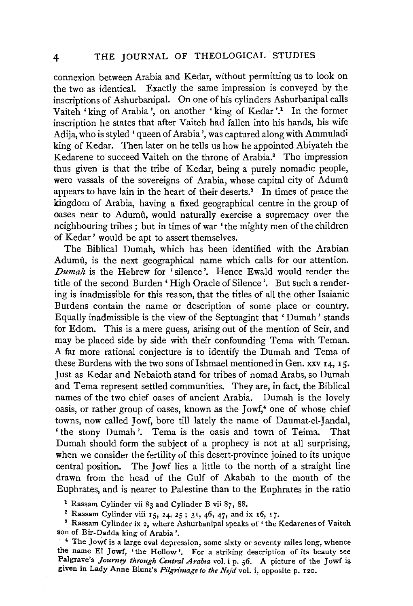connexion between Arabia and Kedar, without permitting us to look on the two as identical. Exactly the same impression is conveyed by the inscriptions of Ashurbanipal. On one of his cylinders Ashurbanipal calls Vaiteh 'king of Arabia', on another 'king of Kedar '.1 In the former inscription he states that after Vaiteh had fallen into his hands, his wife Adija, who is styled 'queen of Arabia', was captured along with Ammuladi king of Kedar. Then later on he tells us how he appointed Abiyateh the Kedarene to succeed Vaiteh on the throne of Arabia.<sup>2</sup> The impression thus given is that the tribe of Kedar, being a purely nomadic people, were vassals of the sovereigns of Arabia, whose capital city of Adumu appears to have lain in the heart of their deserts.<sup>3</sup> In times of peace the kingdom of Arabia, having a fixed geographical centre in the group of oases near to Adumû, would naturally exercise a supremacy over the neighbouring tribes ; but in times of war 'the mighty men of the children of Kedar ' would be apt to assert themselves.

The Biblical Dumah, which has been identified with the Arabian Adumû, is the next geographical name which calls for our attention. *Dumah* is the Hebrew for 'silence'. Hence Ewald would render the title of the second Burden 'High Oracle of Silence'. But such a rendering is inadmissible for this reason, that the titles of all the other Isaianic Burdens contain the name or description of some place or country. Equally inadmissible is the view of the Septuagint that 'Dumah' stands for Edom. This is a mere guess, arising out of the mention of Seir, and may be placed side by side with their confounding Tema with Teman. A far more rational conjecture is to identify the Dumah and Tema of these Burdens with the two sons of Ishmael mentioned in Gen. xxv 14, 15. Just as Kedar and Nebaioth stand for tribes of nomad Arabs, so Dumah and Tema represent settled communities. They are, in fact, the Biblical names of the two chief oases of ancient Arabia. Dumah is the lovely oasis, or rather group of oases, known as the Jowf,<sup>4</sup> one of whose chief towns, now called Jowf, bore till lately the name of Daumat-el-Jandal, 'the stony Dumah '. Tema is the oasis and town of Teima. That Dumah should form the subject of a prophecy is not at all surprising, when we consider the fertility of this desert-province joined to its unique central position. The Jowf lies a little to the north of a straight line drawn from the head of the Gulf of Akabah to the mouth of the Euphrates, and is nearer to Palestine than to the Euphrates in the ratio

<sup>1</sup> Rassam Cylinder vii 83 and Cylinder B vii 87, 88.<br><sup>2</sup> Rassam Cylinder viii 15, 24, 25; 31, 46, 47, and ix 16, 17.

<sup>3</sup> Rassam Cylinder ix 2, where Ashurbanipal speaks of 'the Kedarenes of Vaiteh son of Bir-Dadda king of Arabia'.<br>4 The Jowf is a large oval depression, some sixty or seventy miles long, whence

the name El Jowf, 'the Hollow'. For a striking description of its beauty see Palgrave's *Journey through Central Arabta* vol. i p. 56. A picture of the Jowf is given in Lady An ne Blunt's *Pilgrimage to the Nejd* vol. i, opposite p. I 20.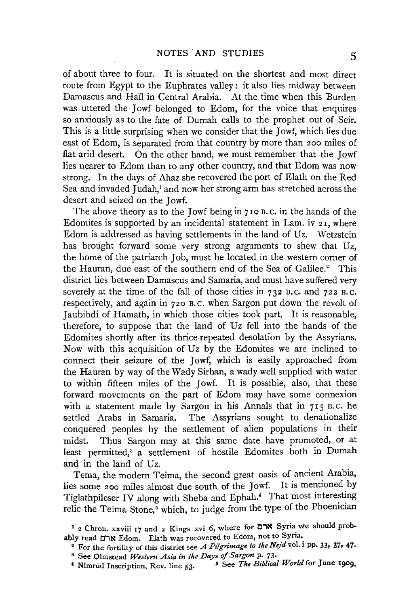of about three to four. It is situated on the shortest and most direct route from Egypt to the Euphrates valley: it also lies midway between Damascus and Haïl in Central Arabia. At the time when this Burden was uttered the Jowf belonged to Edom, for the voice that enquires so anxiously as to the fate of Dumah calls to the prophet out of Seir. This is a little surprising when we consider that the Jowf, which lies due east of Edom, is separated from that country by more than 200 miles of flat arid desert. On the other hand, we must remember that the Jowf lies nearer to Edom than to any other country, and that Edom was now strong. In the days of Ahaz she recovered the port of Elath on the Red Sea and invaded Judah,<sup>1</sup> and now her strong arm has stretched across the desert and seized on the Jowf.

The above theory as to the Jowf being in 710 B.C. in the hands of the Edomites is supported by an incidental statement in Lam. iv 21, where Edom is addressed as having settlements in the land of Uz. Wetzstein has brought forward some very strong arguments to shew that Uz, the home of the patriarch Job, must be located in the western corner of the Hauran, due east of the southern end of the Sea of Galilee.<sup>2</sup> This district lies between Damascus and Samaria, and must have suffered very severely at the time of the fall of those cities in 732 B.C. and 722 B.C. respectively, and again in 720 B.C. when Sargon put down the revolt of Jaubihdi of Hamath, in which those cities took part. It is reasonable, therefore, to suppose that the land of Uz fell into the hands of the Edomites shortly after its thrice-repeated desolation by the Assyrians. Now with this acquisition of Uz by the Edomites we are inclined to connect their seizure of the Jowf, which is easily approached from the Hauran by way of the Wady Sirhan, a wady well supplied with water to within fifteen miles of the Jowf. It is possible, also, that these forward movements on the part of Edom may have some connexion with a statement made by Sargon in his Annals that in 715 B.C. he settled Arabs in Samaria. The Assyrians sought to denationalize conquered peoples by the settlement of alien populations in their midst. Thus Sargon may at this same date have promoted, or at least permitted,<sup>3</sup> a settlement of hostile Edomites both in Dumah and in the land of Uz.

Tema, the modern Teima, the second great oasis of ancient Arabia, lies some *zoo* miles almost due south of the Jowf. It is mentioned by Tiglathpileser IV along with Sheba and Ephah.<sup>4</sup> That most interesting relic the Teima Stone,<sup>5</sup> which, to judge from the type of the Phoenician

 $1$  2 Chron. xxviii  $17$  and 2 Kings xvi 6, where for  $D^{\mathbb{N}}$  Syria we should probably read ארם Edom. Elath was recovered to Edom, not to Syria.

<sup>•</sup> For the fertility of this district see *A Pilgrimage to the Nejd* vol. i PP· 33, 37, 47· 3 See Olmstead *Western Asia in the Days of Sargon* P· 73·

t Nimrud Inscription, Rev. line 53. 5 See *The Biblical World* for June 1909.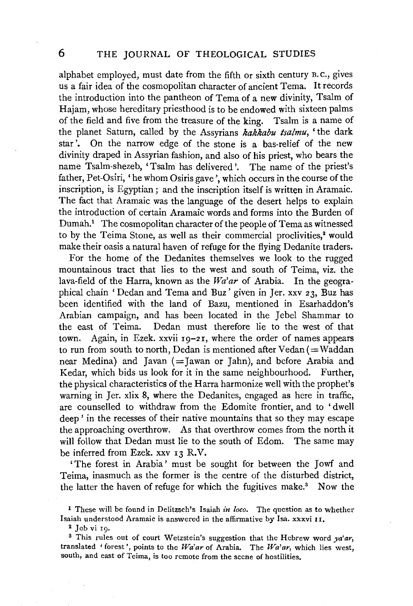alphabet employed, must date from the fifth or sixth century B. c., gives us a fair idea of the cosmopolitan character of ancient Tema. It records the introduction into the pantheon of Tema of a new divinity, Tsalm of Hajam, whose hereditary priesthood is to be endowed with sixteen palms of the field and five from the treasure of the king. Tsalm is a name of the planet Saturn, called by the Assyrians *kakkabu tsalmu,* ' the dark star'. On the narrow edge of the stone is a bas-relief of the new divinity draped in Assyrian fashion, and also of his priest, who bears the name Tsalm-shezeb, 'Tsalm has delivered'. The name of the priest's father, Pet-Osiri, 'he whom Osiris gave', which occurs in the course of the inscription, is Egyptian ; and the inscription itself is written in Aramaic. The fact that Aramaic was the language of the desert helps to explain the introduction of certain Aramaic words and forms into the Burden of Dumah.1 The cosmopolitan character of the people of Tema as witnessed to by the Teima Stone, as well as their commercial proclivities,<sup>2</sup> would make their oasis a natural haven of refuge for the flying Dedanite traders.

For the home of the Dedanites themselves we look to the rugged mountainous tract that lies to the west and south of Teima, viz. the lava-field of the Harra, known as the *Wa'ar* of Arabia. In the geographical chain 'Dedan and Tema and Buz' given in Jer. xxv 23, Buz has been identified with the land of Bazu, mentioned in Esarhaddon's Arabian campaign, and has been located in the Jebel Shammar to the east of Teima. Dedan must therefore lie to the west of that town. Again, in Ezek. xxvii 19-21, where the order of names appears to run from south to north, Dedan is mentioned after Vedan  $($  = Waddan near Medina) and Javan  $(=\bar{1}$ awan or Jahn), and before Arabia and Kedar, which bids us look for it in the same neighbourhood. Further, the physical characteristics of the Harra harmonize well with the prophet's warning in Jer. xlix 8, where the Dedanites, engaged as here in traffic, are counselled to withdraw from the Edomite frontier, and to 'dwell deep' in the recesses of their native mountains that so they may escape the approaching overthrow. As that overthrow comes from the north it will follow that Dedan must lie to the south of Edom. The same may be inferred from Ezek. xxv 13 R.V.

'The forest in Arabia' must be sought for between the Jowf and Teima, inasmuch as the former is the centre of the disturbed district, the latter the haven of refuge for which the fugitives make. $3$  Now the

1 These will be found in Delitzsch's Isaiah *in loco.* The question as to whether Isaiah understood Aramaic is answered in the affirmative by lsa. xxxvi 11,

<sup>&</sup>lt;sup>2</sup> Job vi 19.<br><sup>3</sup> This rules out of court Wetzstein's suggestion that the Hebrew word *ya'ar*, translated 'forest', points to the *Wa'ar* of Arabia. The *Wa'ar,* which lies west, south, and east of Teima, is too remote from the scene of hostilities.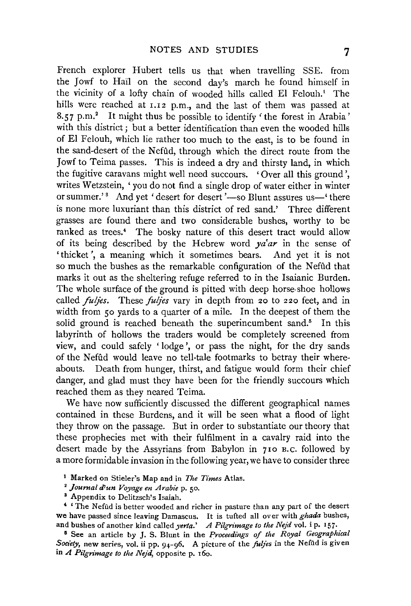French explorer Hubert tells us that when travelling SSE. from the Jowf to Hail on the second day's march he found himself in the vicinity of a lofty chain of wooded hills called El Felouh.<sup>1</sup> The hills were reached at 1.12 p.m., and the last of them was passed at 8.57 p.m.<sup>2</sup> It might thus be possible to identify ' the forest in Arabia' with this district; but a better identification than even the wooded hills of El Felouh, which lie rather too much to the east, is to be found in the sand-desert of the Neffld, through which the direct route from the Jowf to Teima passes. This is indeed a dry and thirsty land, in which the fugitive caravans might well need succours. 'Over all this ground', writes Wetzstein, 'you do not find a single drop of water either in winter or summer.'<sup>3</sup> And yet 'desert for desert'—so Blunt assures us—'there is none more luxuriant than this district of red sand.' Three different grasses are found there and two considerable bushes, worthy to be ranked as trees.<sup>4</sup> The bosky nature of this desert tract would allow of its being described by the Hebrew word *ya'ar* in the sense of 'thicket', a meaning which it sometimes bears. And yet it is not so much the bushes as the remarkable configuration of the Nefûd that marks it out as the sheltering refuge referred to in the Isaianic Burden. The whole surface of the ground is pitted with deep horse-shoe hollows called *fuljes*. These *fuljes* vary in depth from 20 to 220 feet, and in width from so yards to a quarter of a mile. In the deepest of them the solid ground is reached beneath the superincumbent sand.<sup>5</sup> In this labyrinth of hollows the traders would be completely screened from view, and could safely ' lodge', or pass the night, for the dry sands of the Neflid would leave no tell-tale footmarks to betray their whereabouts. Death from hunger, thirst, and fatigue would form their chief danger, and glad must they have been for the friendly succours which reached them as they neared Teima.

We have now sufficiently discussed the different geographical names contained in these Burdens, and it will be seen what a flood of light they throw on the passage. But in order to substantiate our theory that these prophecies met with their fulfilment in a cavalry raid into the desert made by the Assyrians from Babylon in 710 B.c. followed by a more formidable invasion in the following year, we have to consider three

- 
- 
- 

<sup>1</sup> Marked on Stieler's Map and in *The Times* Atlas.<br>
<sup>2</sup> *Journal d'un Voyage en Arabie* p. 50.<br>
<sup>3</sup> Appendix to Delitzsch's Isaiah.<br>
<sup>4</sup> 'The Nefûd is better wooded and richer in pasture than any part of the desert we have passed since leaving Damascus. It is tufted all over with *ghada* bushes, and bushes of another kind called *verta.' A Pilgrimage to the Nejd* vol. i p. 157.

G See an article by J. S. Blunt in the *Proceedings of the Royal Geographical*  Society, new series, vol. ii pp. 94-96. A picture of the *fuljes* in the Nefud is given in *A Pilgrimage to the Nejd,* opposite p. r6o.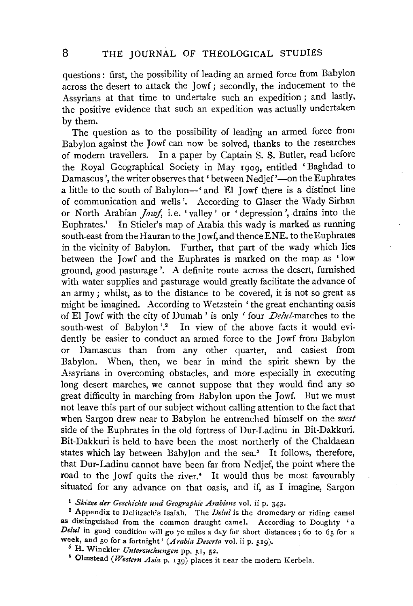questions: first, the possibility of leading an armed force from Babylon across the desert to attack the Jowf; secondly, the inducement to the Assyrians at that time to undertake such an expedition; and lastly, the positive evidence that such an expedition was actually undertaken by them.

The question as to the possibility of leading an armed force from Babylon against the Jowf can now be solved, thanks to the researches of modern travellers. In a paper by Captain S. S. Butler, read before the Royal Geographical Society in May 1909, entitled 'Baghdad to Damascus', the writer observes that ' between Nedjef'-on the Euphrates a little to the south of Babylon-' and El Jowf there is a distinct line of communication and wells'. According to Glaser the Wady Sirhan or North Arabian *jowj,* i.e. 'valley' or 'depression', drains into the Euphrates.1 In Stieler's map of Arabia this wady is marked as running south-east from theHauran to the Jowf,and thenceENE. to the Euphrates in the vicinity of Babylon. Further, that part of the wady which lies between the Jowf and the Euphrates is marked on the map as 'low ground, good pasturage'. A definite route across the desert, furnished with water supplies and pasturage would greatly facilitate the advance of an army; whilst, as to the distance to be covered, it is not so great as might be imagined. According to Wetzstein 'the great enchanting oasis of El Jowf with the city of Dumah ' is only ' four *Delul*-marches to the south-west of Babylon'.<sup>2</sup> In view of the above facts it would evidently be easier to conduct an armed force to the Jowf from Babylon or Damascus than from any other quarter, and easiest from Babylon. When, then, we bear in mind the spirit shewn by the Assyrians in overcoming obstacles, and more especially in executing long desert marches, we cannot suppose that they would find any so great difficulty in marching from Babylon upon the Jowf. But we must not leave this part of our subject without calling attention to the fact that when Sargon drew near to Babylon he entrenched himself on the *west*  side of the Euphrates in the old fortress of Dur-Ladinu in Bit-Dakkuri. Bit-Dakkuri is held to have been the most northerly of the Chaldaean states which lay between Babylon and the sea.<sup>3</sup> It follows, therefore, that Dur-Ladinu cannot have been far from Nedjef, the point where the road to the Jowf quits the river.<sup>4</sup> It would thus be most favourably situated for any advance on that oasis, and if, as I imagine, Sargon

<sup>1</sup> Skizze der Geschichte und Geographie Arabiens vol. ii p. 343.

<sup>2</sup> Appendix to Delitzsch's Isaiah. The *Delul* is the dromedary or riding camel as distinguished from the common draught camel. According to Doughty 'a *Delul* in good condition will go 70 miles a day for short distances; 6o to 65 for a week, and 50 for a fortnight' *(Arabia Deserta vol.* ii p. 519).<br><sup>3</sup> H. Winckler *Untersuchungen* pp. 51, 52.

• Olmstead *(Western Asia* p. 139) places it near the modern Kerbela.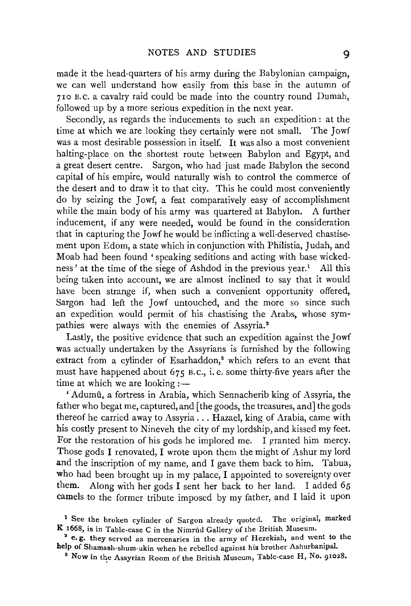made it the head-quarters of his army during the Babylonian campaign, we can well understand how easily from this base in the autumn of 710 B.c. a cavalry raid could be made into the country round Dumah, followed up by a more serious expedition in the next year.

Secondly, as regards the inducements to such an expedition : at the time at which we are looking they certainly were not small. The Jowf was a most desirable possession in itself. It was also a most convenient halting-place on the shortest route between Babylon and Egypt, and a great desert centre. Sargon, who had just made Babylon the second capital of his empire, would naturally wish to control the commerce of the desert and to draw it to that city. This he could most conveniently do by seizing the Jowf, a feat comparatively easy of accomplishment while the main body of his army was quartered at Babylon. A further inducement, if any were needed, would be found in the consideration that in capturing the Jowf he would be inflicting a well-deserved chastisement upon Edom, a state which in conjunction with Philistia, Judah, and Moab had been found 'speaking seditions and acting with base wickedness' at the time of the siege of Ashdod in the previous year.<sup>1</sup> All this being taken into account, we are almost inclined to say that it would have been strange if, when such a convenient opportunity offered, Sargon had left the Jowf untouched, and the more so since such an expedition would permit of his chastising the Arabs, whose sympathies were always with the enemies of Assyria.<sup>2</sup>

Lastly, the positive evidence that such an expedition against the Jowf was actually undertaken by the Assyrians is furnished by the following extract from a cylinder of Esarhaddon,<sup>3</sup> which refers to an event that must have happened about  $675$  B.C., i.e. some thirty-five years after the time at which we are looking  $:$ --

' Adumû, a fortress in Arabia, which Sennacherib king of Assyria, the father who begat me, captured, and [the goods, the treasures, and] the gods thereof he carried away to Assyria ... Hazael, king of Arabia, came with his costly present to Nineveh the city of my lordship, and kissed my feet. For the restoration of his gods he implored me. I granted him mercy. Those gods I renovated, I wrote upon them the might of Ashur my lord and the inscription of my name, and I gave them back to him. Tabua, who had been brought up in my palace, I appointed to sovereignty over them. Along with her gods I sent her back to her land. I added 65 camels to the former tribute imposed by my father, and I laid it upon

<sup>&</sup>lt;sup>1</sup> See the broken cylinder of Sargon already quoted. The original, marked K 1668, is in Table-case C in the Nimrûd Gallery of the British Museum.

<sup>&</sup>lt;sup>2</sup> e.g. they served as mercenaries in the army of Hezekiah, and went to the help of Shamash-shum-ukin when he rebelled against his brother Ashurbanipal.<br><sup>3</sup> Now in the Assyrian Room of the British Museum, Table-case H, No. 91028.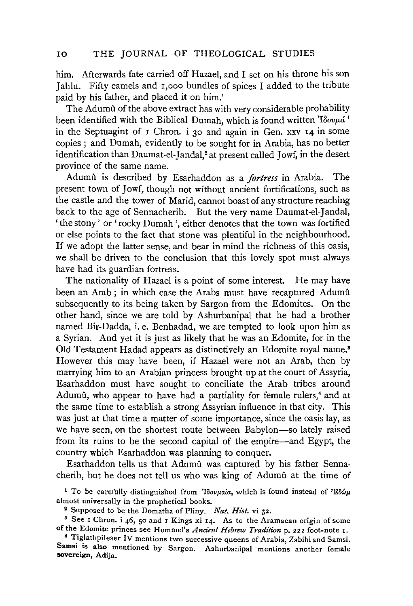him. Afterwards fate carried off Hazael, and I set on his throne his son Jahlu. Fifty camels and r,ooo bundles of spices I added to the tribute paid by his father, and placed it on him.'

The Adumu of the above extract has with very considerable probability been identified with the Biblical Dumah, which is found written 'I $\delta$ ov $\mu$ á<sup>1</sup> in the Septuagint of r Chron. i 30 and again in Gen. xxv 14 in some copies ; and Dumah, evidently to be sought for in Arabia, has no better identification than Daumat-el-Jandal,<sup>2</sup> at present called Jowf, in the desert province of the same name.

Adumu is described by Esarhaddon as a *fortress* in Arabia. The present town of Jowf, though not without ancient fortifications, such as the castle and the tower of Marid, cannot boast of any structure reaching back to the age of Sennacherib. But the very name Daumat-el-Jandal, 'the stony' or 'rocky Dumah ', either denotes that the town was fortified or else points to the fact that stone was plentiful in the neighbourhood. If we adopt the latter sense, and bear in mind the richness of this oasis, we shall be driven to the conclusion that this lovely spot must always have had its guardian fortress.

The nationality of Hazael is a point of some interest. He may have been an Arab; in which case the Arabs must have recaptured Adumu subsequently to its being taken by Sargon from the Edomites. On the other hand, since we are told by Ashurbanipal that he had a brother named Bir-Dadda, i.e. Benhadad, we are tempted to look upon him as a Syrian. And yet it is just as likely that he was an Edomite, for in the Old Testament Hadad appears as distinctively an Edomite royal name.• However this may have been, if Hazael were not an Arab, then by marrying him to an Arabian princess brought up at the court of Assyria, Esarhaddon must have sought to conciliate the Arab tribes around Adumû, who appear to have had a partiality for female rulers,<sup>4</sup> and at the same time to establish a strong Assyrian influence in that city. This was just at that time a matter of some importance, since the oasis lay, as we have seen, on the shortest route between Babylon-so lately raised from its ruins to be the second capital of the empire-and Egypt, the country which Esarhaddon was planning to conquer.

Esarhaddon tells us that Adumû was captured by his father Sennacherib, but he does not tell us who was king of Adumu at the time of

<sup>1</sup> To be carefully distinguished from 'loovpaia, which is found instead of 'Eowp almost universally in the prophetical books.<br><sup>2</sup> Supposed to be the Domatha of Pliny. *Nat. Hist.* vi 32.

3 See r Chron. i 46, so and r Kings xi 14. As to the Aramaean origin of some of the Edomite princes see Hommel's *Ancient Hebrew Tradition* p. 222 foot-note 1.<br><sup>4</sup> Tiglathpileser IV mentions two successive queens of Arabia, Zabibi and Samsi.

Samsi is also mentioned by Sargon. Ashurbanipal mentions another female sovereign, Adija.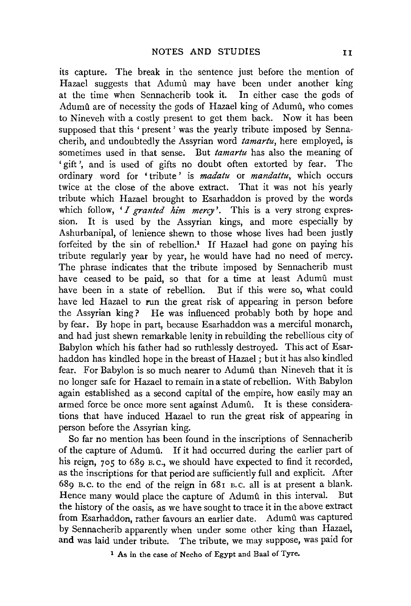its capture. The break in the sentence just before the mention of Hazael suggests that Adumu may have been under another king at the time when Sennacherib took it. In either case the gods of Adumu are of necessity the gods of Hazael king of Adumu, who comes to Nineveh with a costly present to get them back. Now it has been supposed that this 'present' was the yearly tribute imposed by Sennacherib, and undoubtedly the Assyrian word *tamartu,* here employed, is sometimes used in that sense. But *tamartu* has also the meaning of 'gift', and is used of gifts no doubt often extorted by fear. The ordinary word for ' tribute ' is *madatu* or *mandattu,* which occurs twice at the close of the above extract. That it was not his yearly tribute which Hazael brought to Esarhaddon is proved by the words which follow, '*I granted him mercy'*. This is a very strong expression. It is used by the Assyrian kings, and more especially by Ashurbanipal, of lenience shewn to those whose lives had been justly forfeited by the sin of rebellion.<sup>1</sup> If Hazael had gone on paying his tribute regularly year by year, he would have had no need of mercy. The phrase indicates that the tribute imposed by Sennacherib must have ceased to be paid, so that for a time at least Adumû must have been in a state of rebellion. But if this were so, what could have led Hazael to run the great risk of appearing in person before the Assyrian king? He was influenced probably both by hope and by fear. By hope in part, because Esarhaddon was a merciful monarch, and had just shewn remarkable lenity in rebuilding the rebellious city of Babylon which his father had so ruthlessly destroyed. This act of Esarhaddon has kindled hope in the breast of Hazael; but it has also kindled fear. For Babylon is so much nearer to Adumû than Nineveh that it is no longer safe for Hazael to remain in a state of rebellion. With Baby lon again established as a second capital of the empire, how easily may an armed force be once more sent against Adumû. It is these considerations that have induced Hazael to run the great risk of appearing in person before the Assyrian king.

So far no mention has been found in the inscriptions of Sennacherib of the capture of Adumû. If it had occurred during the earlier part of his reign, 705 to 689 B.C., we should have expected to find it recorded, as the inscriptions for that period are sufficiently full and explicit. After 689 B. c. to the end of the reign in 681 B. c. all is at present a blank. Hence many would place the capture of Adumû in this interval. But the history of the oasis, as we have sought to trace it in the above extract from Esarhaddon, rather favours an earlier date. Adumû was captured by Sennacherib apparently when under some other king than Hazael, and was laid under tribute. The tribute, we may suppose, was paid for

<sup>1</sup> As in the case of Necho of Egypt and Baal of Tyre.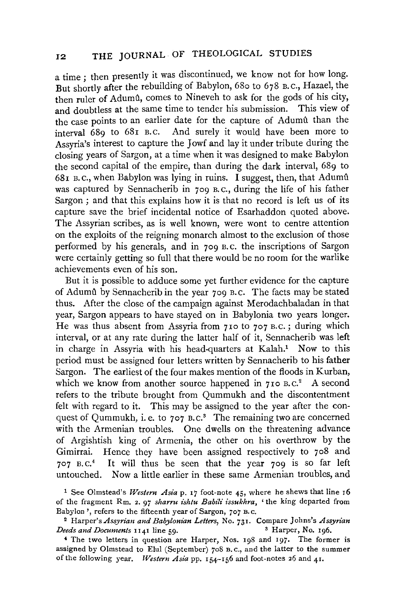a time ; then presently it was discontinued, we know not for how long. But shortly after the rebuilding of Babylon, 680 to 678 B.C., Hazael, the then ruler of Adumu, comes to Nineveh to ask for the gods of his city, and doubtless at the same time to tender his submission. This view of the case points to an earlier date for the capture of Adumû than the interval 689 to 68r B.C. And surely it would have been more to Assyria's interest to capture the Jowf and lay it under tribute during the closing years of Sargon, at a time when it was designed to make Babylon the second capital of the empire, than during the dark interval, 689 to  $68I$  B.C., when Babylon was lying in ruins. I suggest, then, that Adumu was captured by Sennacherib in 709 B.C., during the life of his father Sargon ; and that this explains how it is that no record is left us of its capture save the brief incidental notice of Esarhaddon quoted above. The Assyrian scribes, as is well known, were wont to centre attention on the exploits of the reigning monarch almost to the exclusion of those performed by his generals, and in 709 B. c. the inscriptions of Sargon were certainly getting so full that there would be no room for the warlike achievements even of his son.

But it is possible to adduce some yet further evidence for the capture of Adumu by Sennacherib in the year 709 B.C. The facts may be stated thus. After the close of the campaign against Merodachbaladan in that year, Sargon appears to have stayed on in Babylonia two years longer. He was thus absent from Assyria from 710 to 707 B.C.; during which interval, or at any rate during the latter half of it, Sennacherib was left in charge in Assyria with his head-quarters at Kalah.1 Now to this period must be assigned four letters written by Sennacherib to his father Sargon. The earliest of the four makes mention of the floods in Kurban, which we know from another source happened in  $710 B.C.<sup>2</sup>$  A second refers to the tribute brought from Qummukh and the discontentment felt with regard to it. This may be assigned to the year after the conquest of Qummukh, i.e. to 707 B.C.<sup>3</sup> The remaining two are concerned with the Armenian troubles. One dwells on the threatening advance of Argishtish king of Armenia, the other on his overthrow by the Gimirrai. Hence they have been assigned respectively to 708 and 707 B. c. 4 It will thus be seen that the year 709 is so far left untouched. Now a little earlier in these same Armenian troubles, and

<sup>1</sup> See Olmstead's *Western Asia* p. 17 foot-note 45, where he shews that line 16 of the fragment Rm. 2. 97 *sharru ishtu Babili issukhra,* 'the king departed from Baby Ion', refers to the fifteenth year of Sargon, 707 B. c. 2 *Harper'sAssyrian and Babylonian Letters,* No. 731. Compare Johns's *Assyrian* 

*Deeds and Documents* 1141 line 59. <sup>3</sup> Harper, No. 196. <sup>4</sup> The two letters in question are Harper, Nos. 198 and 197. The former is

assigned by Olmstead to Elul (September) 708 B. c., and the latter to the summer of the following year. *Western Asia* pp. 154-156 and foot-notes 26 and 41.